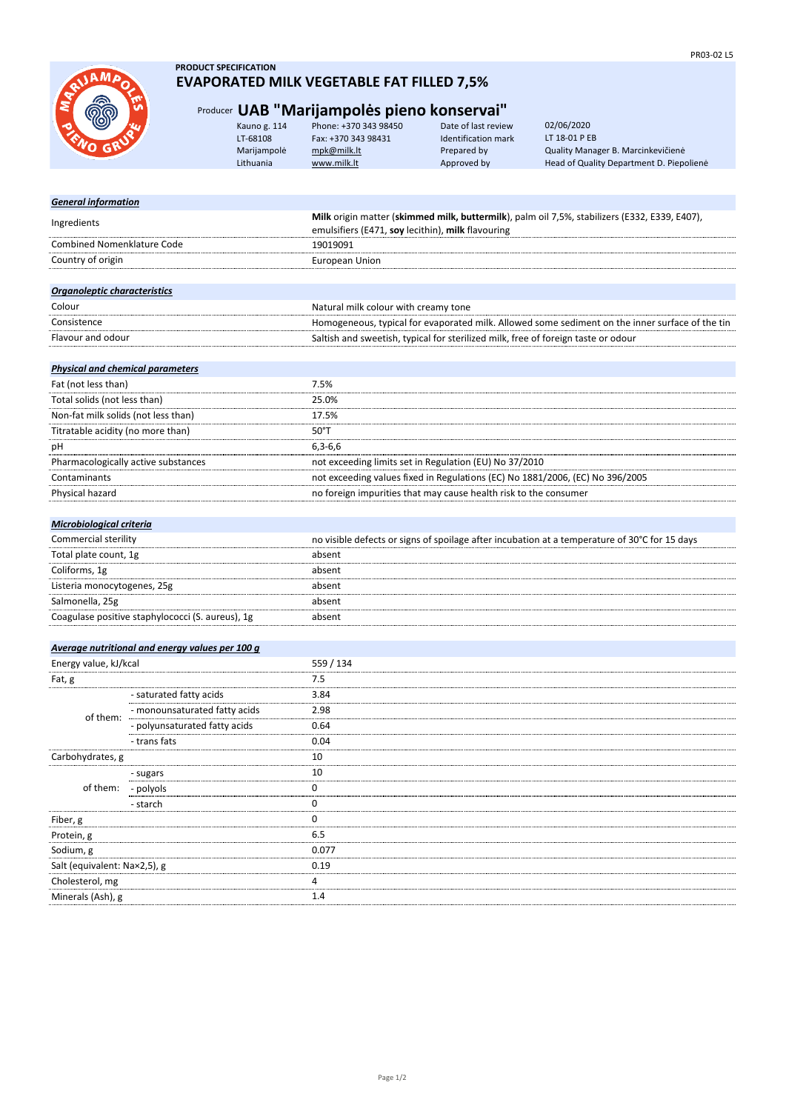

## **PRODUCT SPECIFICATION EVAPORATED MILK VEGETABLE FAT FILLED 7,5%**

## Producer **UAB "Marijampolės pieno konservai"**

| <b>SRAW</b> | Kauno g. 114 | Phone: +370 343 98450 | Date of last review | 02/06/2020                               |
|-------------|--------------|-----------------------|---------------------|------------------------------------------|
|             | LT-68108     | Fax: +370 343 98431   | Identification mark | LT 18-01 P EB                            |
|             | Marijampolė  | mpk@milk.lt           | Prepared by         | Quality Manager B. Marcinkevičienė       |
|             | Lithuania    | www.milk.lt           | Approved by         | Head of Quality Department D. Piepolienė |
|             |              |                       |                     |                                          |

| <b>General information</b>              |                                                                                                 |
|-----------------------------------------|-------------------------------------------------------------------------------------------------|
| Ingredients                             | Milk origin matter (skimmed milk, buttermilk), palm oil 7,5%, stabilizers (E332, E339, E407),   |
|                                         | emulsifiers (E471, soy lecithin), milk flavouring                                               |
| <b>Combined Nomenklature Code</b>       | 19019091                                                                                        |
| Country of origin                       | <b>European Union</b>                                                                           |
|                                         |                                                                                                 |
| <b>Organoleptic characteristics</b>     |                                                                                                 |
| Colour                                  | Natural milk colour with creamy tone                                                            |
| Consistence                             | Homogeneous, typical for evaporated milk. Allowed some sediment on the inner surface of the tin |
| Flavour and odour                       | Saltish and sweetish, typical for sterilized milk, free of foreign taste or odour               |
|                                         |                                                                                                 |
| <b>Physical and chemical parameters</b> |                                                                                                 |
| Fat (not less than)                     | 7.5%                                                                                            |
| Total solids (not less than)            | 25.0%                                                                                           |
| Non-fat milk solids (not less than)     | 17.5%                                                                                           |
| Titratable acidity (no more than)       | 50°T                                                                                            |
| рH                                      | $6.3 - 6.6$                                                                                     |
| Pharmacologically active substances     | not exceeding limits set in Regulation (EU) No 37/2010                                          |
| Contaminants                            | not exceeding values fixed in Regulations (EC) No 1881/2006, (EC) No 396/2005                   |
| Physical hazard                         | no foreign impurities that may cause health risk to the consumer                                |
|                                         |                                                                                                 |

## *Microbiological criteria*

| Commercial sterility                             | no visible defects or signs of spoilage after incubation at a temperature of 30°C for 15 days |
|--------------------------------------------------|-----------------------------------------------------------------------------------------------|
| Total plate count, 1g                            | absent                                                                                        |
| Coliforms, 1g                                    | absent                                                                                        |
| Listeria monocytogenes, 25g                      | absent                                                                                        |
| Salmonella, 25g                                  | absent                                                                                        |
| Coagulase positive staphylococci (S. aureus), 1g | absent                                                                                        |

## *Average nutritional and energy values per 100 g*

| Energy value, kJ/kcal        |                               | 559 / 134 |
|------------------------------|-------------------------------|-----------|
| Fat, g                       |                               | 7.5       |
| of them:                     | - saturated fatty acids       | 3.84      |
|                              | - monounsaturated fatty acids | 2.98      |
|                              | - polyunsaturated fatty acids | 0.64      |
|                              | - trans fats                  | 0.04      |
| Carbohydrates, g             |                               | 10        |
| of them:                     | - sugars                      | 10        |
|                              | - polyols                     |           |
|                              | - starch                      |           |
| Fiber, g                     |                               |           |
| Protein, g                   |                               | 6.5       |
| Sodium, g                    |                               | 0.077     |
| Salt (equivalent: Nax2,5), g |                               | 0.19      |
| Cholesterol, mg              |                               |           |
| Minerals (Ash), g            |                               | . 4       |